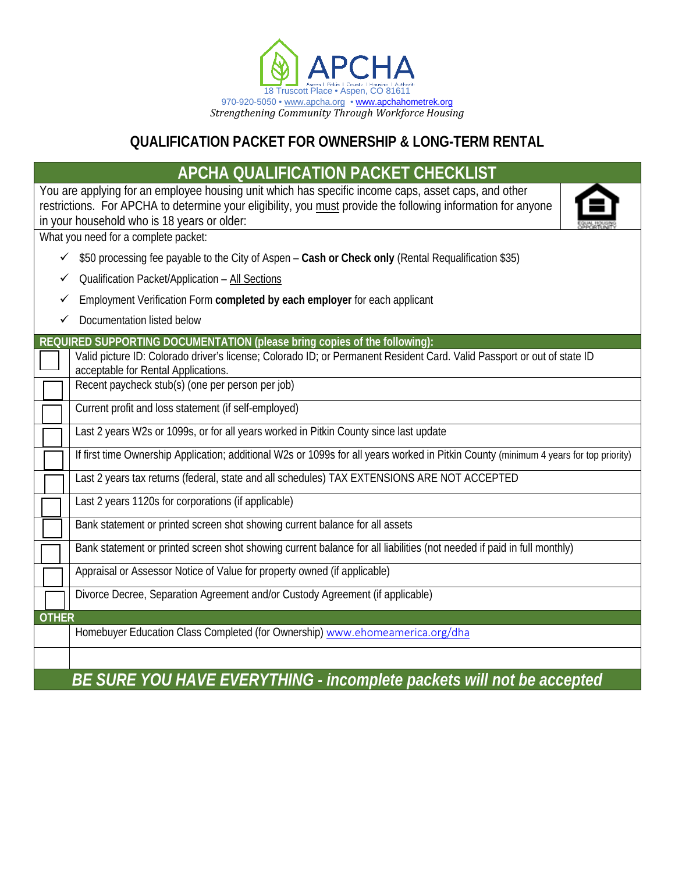

## **QUALIFICATION PACKET FOR OWNERSHIP & LONG-TERM RENTAL**

# **APCHA QUALIFICATION PACKET CHECKLIST**

You are applying for an employee housing unit which has specific income caps, asset caps, and other restrictions. For APCHA to determine your eligibility, you must provide the following information for anyone in your household who is 18 years or older:

What you need for a complete packet:

- \$50 processing fee payable to the City of Aspen **Cash or Check only** (Rental Requalification \$35)
- $\checkmark$  Qualification Packet/Application All Sections
- Employment Verification Form **completed by each employer** for each applicant
- Documentation listed below

**REQUIRED SUPPORTING DOCUMENTATION (please bring copies of the following):**

Valid picture ID: Colorado driver's license; Colorado ID; or Permanent Resident Card. Valid Passport or out of state ID acceptable for Rental Applications.

Recent paycheck stub(s) (one per person per job)

Current profit and loss statement (if self-employed)

Last 2 years W2s or 1099s, or for all years worked in Pitkin County since last update

If first time Ownership Application; additional W2s or 1099s for all years worked in Pitkin County (minimum 4 years for top priority)

Last 2 years tax returns (federal, state and all schedules) TAX EXTENSIONS ARE NOT ACCEPTED

Last 2 years 1120s for corporations (if applicable)

Bank statement or printed screen shot showing current balance for all assets

Bank statement or printed screen shot showing current balance for all liabilities (not needed if paid in full monthly)

Appraisal or Assessor Notice of Value for property owned (if applicable)

Divorce Decree, Separation Agreement and/or Custody Agreement (if applicable)

**OTHER**

Homebuyer Education Class Completed (for Ownership) [www.ehomeamerica.org/dha](http://www.ehomeamerica.org/dha)

*BE SURE YOU HAVE EVERYTHING - incomplete packets will not be accepted*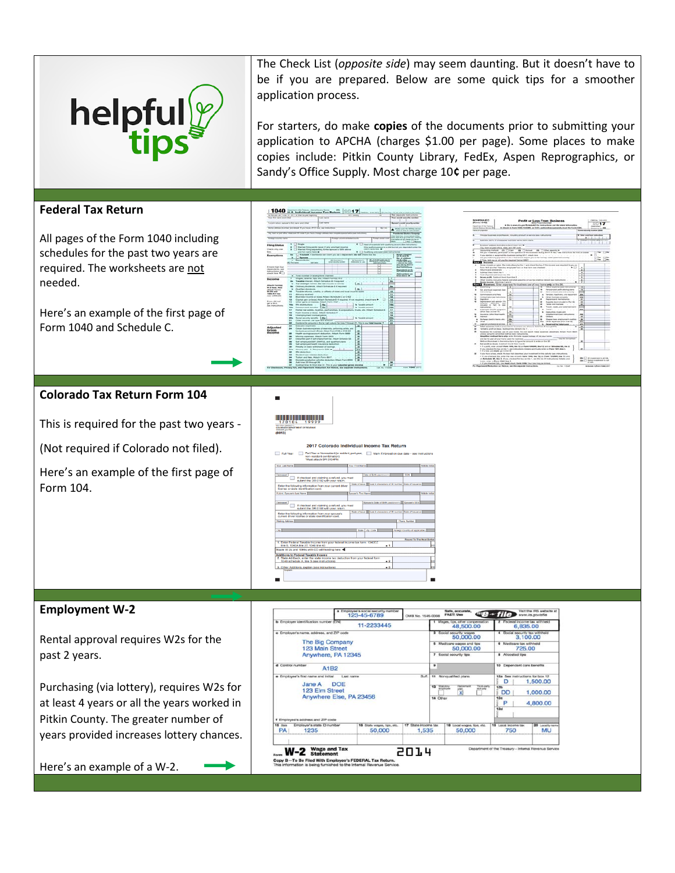

The Check List (*opposite side*) may seem daunting. But it doesn't have to be if you are prepared. Below are some quick tips for a smoother application process.

For starters, do make **copies** of the documents prior to submitting your application to APCHA (charges \$1.00 per page). Some places to make copies include: Pitkin County Library, FedEx, Aspen Reprographics, or Sandy's Office Supply. Most charge 10**¢** per page.

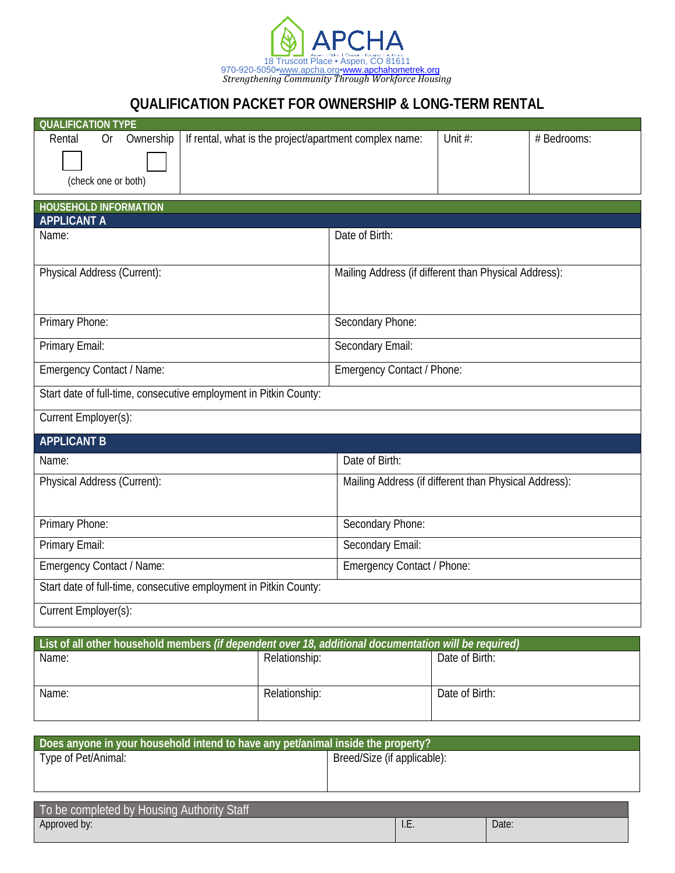

## **QUALIFICATION PACKET FOR OWNERSHIP & LONG-TERM RENTAL**

| <b>QUALIFICATION TYPE</b>                                                                             |                                                        |                            |                                                       |             |  |  |
|-------------------------------------------------------------------------------------------------------|--------------------------------------------------------|----------------------------|-------------------------------------------------------|-------------|--|--|
| Ownership<br>Rental<br>0r                                                                             | If rental, what is the project/apartment complex name: |                            |                                                       | # Bedrooms: |  |  |
|                                                                                                       |                                                        |                            |                                                       |             |  |  |
| (check one or both)                                                                                   |                                                        |                            |                                                       |             |  |  |
|                                                                                                       |                                                        |                            |                                                       |             |  |  |
| <b>HOUSEHOLD INFORMATION</b><br><b>APPLICANT A</b>                                                    |                                                        |                            |                                                       |             |  |  |
| Name:                                                                                                 |                                                        | Date of Birth:             |                                                       |             |  |  |
|                                                                                                       |                                                        |                            |                                                       |             |  |  |
| Physical Address (Current):                                                                           |                                                        |                            | Mailing Address (if different than Physical Address): |             |  |  |
|                                                                                                       |                                                        |                            |                                                       |             |  |  |
|                                                                                                       |                                                        |                            |                                                       |             |  |  |
| Primary Phone:                                                                                        |                                                        | Secondary Phone:           |                                                       |             |  |  |
| Primary Email:                                                                                        |                                                        | Secondary Email:           |                                                       |             |  |  |
| Emergency Contact / Name:                                                                             |                                                        |                            |                                                       |             |  |  |
| Emergency Contact / Phone:                                                                            |                                                        |                            |                                                       |             |  |  |
| Start date of full-time, consecutive employment in Pitkin County:                                     |                                                        |                            |                                                       |             |  |  |
| Current Employer(s):                                                                                  |                                                        |                            |                                                       |             |  |  |
| <b>APPLICANT B</b>                                                                                    |                                                        |                            |                                                       |             |  |  |
| Name:                                                                                                 |                                                        | Date of Birth:             |                                                       |             |  |  |
| Physical Address (Current):                                                                           |                                                        |                            | Mailing Address (if different than Physical Address): |             |  |  |
|                                                                                                       |                                                        |                            |                                                       |             |  |  |
| Primary Phone:                                                                                        |                                                        | Secondary Phone:           |                                                       |             |  |  |
|                                                                                                       |                                                        |                            |                                                       |             |  |  |
| Primary Email:                                                                                        |                                                        | Secondary Email:           |                                                       |             |  |  |
| Emergency Contact / Name:                                                                             |                                                        | Emergency Contact / Phone: |                                                       |             |  |  |
| Start date of full-time, consecutive employment in Pitkin County:                                     |                                                        |                            |                                                       |             |  |  |
| Current Employer(s):                                                                                  |                                                        |                            |                                                       |             |  |  |
|                                                                                                       |                                                        |                            |                                                       |             |  |  |
| List of all other household members (if dependent over 18, additional documentation will be required) |                                                        |                            |                                                       |             |  |  |
| Name:                                                                                                 | Relationship:                                          |                            | Date of Birth:                                        |             |  |  |
|                                                                                                       |                                                        |                            |                                                       |             |  |  |
| Name:                                                                                                 | Relationship:                                          |                            | Date of Birth:                                        |             |  |  |

| Does anyone in your household intend to have any pet/animal inside the property? |                             |  |  |  |  |
|----------------------------------------------------------------------------------|-----------------------------|--|--|--|--|
| Type of Pet/Animal:                                                              | Breed/Size (if applicable): |  |  |  |  |
|                                                                                  |                             |  |  |  |  |
|                                                                                  |                             |  |  |  |  |
|                                                                                  |                             |  |  |  |  |

| To be completed by Housing Authority Staff |             |       |
|--------------------------------------------|-------------|-------|
| Approved by:                               | $L_{\rm L}$ | Date: |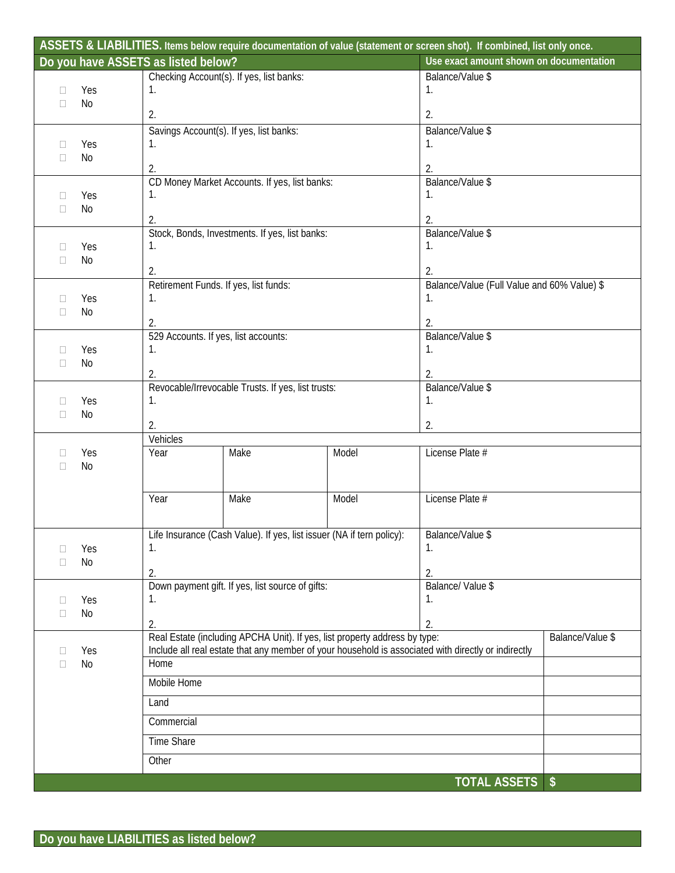|                          |           | Do you have ASSETS as listed below? |                                                    |                                                                                        | Use exact amount shown on documentation                                                             |                  |
|--------------------------|-----------|-------------------------------------|----------------------------------------------------|----------------------------------------------------------------------------------------|-----------------------------------------------------------------------------------------------------|------------------|
|                          |           |                                     | Checking Account(s). If yes, list banks:           |                                                                                        | Balance/Value \$                                                                                    |                  |
| $\Box$                   | Yes       | 1.                                  |                                                    |                                                                                        | 1.                                                                                                  |                  |
| N <sub>0</sub><br>$\Box$ |           |                                     |                                                    |                                                                                        |                                                                                                     |                  |
|                          |           | 2.                                  |                                                    |                                                                                        | 2.                                                                                                  |                  |
|                          |           |                                     | Savings Account(s). If yes, list banks:            |                                                                                        | Balance/Value \$                                                                                    |                  |
| П                        | Yes       | 1.                                  |                                                    |                                                                                        | 1.                                                                                                  |                  |
| $\Box$                   | No        |                                     |                                                    |                                                                                        |                                                                                                     |                  |
|                          |           | 2.                                  |                                                    |                                                                                        | 2.                                                                                                  |                  |
|                          |           |                                     | CD Money Market Accounts. If yes, list banks:      |                                                                                        | Balance/Value \$<br>1.                                                                              |                  |
| 0<br>$\Box$              | Yes<br>No | 1.                                  |                                                    |                                                                                        |                                                                                                     |                  |
|                          |           | 2.                                  |                                                    |                                                                                        | 2.                                                                                                  |                  |
|                          |           |                                     | Stock, Bonds, Investments. If yes, list banks:     |                                                                                        | Balance/Value \$                                                                                    |                  |
| П                        | Yes       | 1.                                  |                                                    |                                                                                        | 1.                                                                                                  |                  |
| П                        | No        |                                     |                                                    |                                                                                        |                                                                                                     |                  |
|                          |           | 2.                                  |                                                    |                                                                                        | 2.                                                                                                  |                  |
|                          |           |                                     | Retirement Funds. If yes, list funds:              |                                                                                        | Balance/Value (Full Value and 60% Value) \$                                                         |                  |
| П                        | Yes       | 1.                                  |                                                    |                                                                                        | 1.                                                                                                  |                  |
| П                        | No        | 2.                                  |                                                    |                                                                                        | 2.                                                                                                  |                  |
|                          |           |                                     | 529 Accounts. If yes, list accounts:               |                                                                                        | Balance/Value \$                                                                                    |                  |
| $\mathbf{L}$             | Yes       | 1.                                  |                                                    |                                                                                        | 1.                                                                                                  |                  |
| П                        | <b>No</b> |                                     |                                                    |                                                                                        |                                                                                                     |                  |
|                          |           | 2.                                  |                                                    |                                                                                        | 2.                                                                                                  |                  |
|                          |           |                                     | Revocable/Irrevocable Trusts. If yes, list trusts: |                                                                                        | Balance/Value \$                                                                                    |                  |
| $\Box$                   | Yes       | 1.                                  |                                                    |                                                                                        | 1.                                                                                                  |                  |
| $\Box$                   | No        | 2.                                  |                                                    |                                                                                        | 2.                                                                                                  |                  |
|                          |           | Vehicles                            |                                                    |                                                                                        |                                                                                                     |                  |
| □                        | Yes       | Year                                | Make                                               | Model                                                                                  | License Plate #                                                                                     |                  |
| П                        | No        |                                     |                                                    |                                                                                        |                                                                                                     |                  |
|                          |           |                                     |                                                    |                                                                                        |                                                                                                     |                  |
|                          |           | Year                                | Make                                               | Model                                                                                  | License Plate #                                                                                     |                  |
|                          |           |                                     |                                                    |                                                                                        |                                                                                                     |                  |
|                          |           |                                     |                                                    |                                                                                        |                                                                                                     |                  |
|                          |           |                                     |                                                    | Life Insurance (Cash Value). If yes, list issuer (NA if tern policy): Balance/Value \$ |                                                                                                     |                  |
|                          | Yes       | 1.                                  |                                                    |                                                                                        | 1.                                                                                                  |                  |
|                          | <b>No</b> | 2.                                  |                                                    |                                                                                        | 2.                                                                                                  |                  |
|                          |           |                                     | Down payment gift. If yes, list source of gifts:   |                                                                                        | Balance/ Value \$                                                                                   |                  |
| □                        | Yes       | 1.                                  |                                                    |                                                                                        | 1.                                                                                                  |                  |
| $\Box$                   | No        |                                     |                                                    |                                                                                        |                                                                                                     |                  |
|                          |           | 2.                                  |                                                    |                                                                                        | 2.                                                                                                  |                  |
|                          |           |                                     |                                                    | Real Estate (including APCHA Unit). If yes, list property address by type:             |                                                                                                     | Balance/Value \$ |
| $\mathbf{L}$             | Yes       |                                     |                                                    |                                                                                        | Include all real estate that any member of your household is associated with directly or indirectly |                  |
| П                        | No        | Home                                |                                                    |                                                                                        |                                                                                                     |                  |
|                          |           | Mobile Home                         |                                                    |                                                                                        |                                                                                                     |                  |
|                          |           | Land                                |                                                    |                                                                                        |                                                                                                     |                  |
|                          |           |                                     |                                                    |                                                                                        |                                                                                                     |                  |
|                          |           | Commercial                          |                                                    |                                                                                        |                                                                                                     |                  |
|                          |           | Time Share                          |                                                    |                                                                                        |                                                                                                     |                  |
|                          |           | Other                               |                                                    |                                                                                        |                                                                                                     |                  |
|                          |           |                                     |                                                    |                                                                                        |                                                                                                     |                  |
|                          |           |                                     |                                                    |                                                                                        | <b>TOTAL ASSETS \$</b>                                                                              |                  |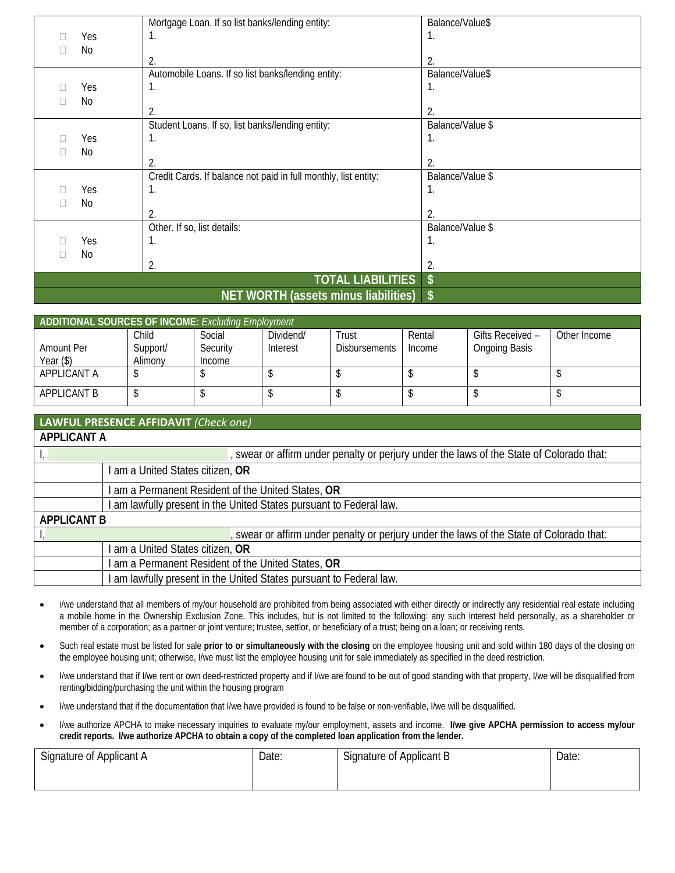|                | Mortgage Loan. If so list banks/lending entity:                 | Balance/Value\$  |
|----------------|-----------------------------------------------------------------|------------------|
| Yes            | Ι.                                                              | 1.               |
| No             |                                                                 |                  |
|                | 2.                                                              | 2.               |
|                | Automobile Loans. If so list banks/lending entity:              | Balance/Value\$  |
| Yes            | Ί.                                                              | 1.               |
| No             |                                                                 |                  |
|                | 2.                                                              | 2.               |
|                | Student Loans. If so, list banks/lending entity:                | Balance/Value \$ |
| Yes            |                                                                 | Ί.               |
| No             |                                                                 |                  |
|                | 2.                                                              | 2.               |
|                | Credit Cards. If balance not paid in full monthly, list entity: | Balance/Value \$ |
| Yes            |                                                                 | 1.               |
| N <sub>0</sub> |                                                                 |                  |
|                | 2.                                                              | $\overline{2}$ . |
|                | Other. If so, list details:                                     | Balance/Value \$ |
| Yes            | 1.                                                              | 1.               |
| No             |                                                                 |                  |
|                | 2.                                                              | 2.               |
|                | <b>TOTAL LIABILITIES</b>                                        |                  |
|                | $NET$ MODTH (accote minue liabilities) $\ell$                   |                  |

#### **NET WORTH (assets minus liabilities) \$**

| ADDITIONAL SOURCES OF INCOME: Excluding Employment |          |          |           |                      |        |                      |              |
|----------------------------------------------------|----------|----------|-----------|----------------------|--------|----------------------|--------------|
|                                                    | Child    | Social   | Dividend/ | Trust                | Rental | Gifts Received –     | Other Income |
| Amount Per                                         | Support/ | Security | Interest  | <b>Disbursements</b> | Income | <b>Ongoing Basis</b> |              |
| Year (\$)                                          | Alimony  | Income   |           |                      |        |                      |              |
| APPLICANT A                                        |          |          |           |                      |        |                      |              |
| APPLICANT B                                        |          |          |           |                      |        |                      |              |

| LAWFUL PRESENCE AFFIDAVIT (Check one)              |                                                                                          |  |  |  |  |  |
|----------------------------------------------------|------------------------------------------------------------------------------------------|--|--|--|--|--|
| <b>APPLICANT A</b>                                 |                                                                                          |  |  |  |  |  |
|                                                    | , swear or affirm under penalty or perjury under the laws of the State of Colorado that: |  |  |  |  |  |
| I am a United States citizen, OR                   |                                                                                          |  |  |  |  |  |
|                                                    | I am a Permanent Resident of the United States, OR                                       |  |  |  |  |  |
|                                                    | am lawfully present in the United States pursuant to Federal law.                        |  |  |  |  |  |
| <b>APPLICANT B</b>                                 |                                                                                          |  |  |  |  |  |
|                                                    | , swear or affirm under penalty or perjury under the laws of the State of Colorado that: |  |  |  |  |  |
| I am a United States citizen, OR                   |                                                                                          |  |  |  |  |  |
| I am a Permanent Resident of the United States, OR |                                                                                          |  |  |  |  |  |
|                                                    | I am lawfully present in the United States pursuant to Federal law.                      |  |  |  |  |  |

- I/we understand that all members of my/our household are prohibited from being associated with either directly or indirectly any residential real estate including a mobile home in the Ownership Exclusion Zone. This includes, but is not limited to the following: any such interest held personally, as a shareholder or member of a corporation; as a partner or joint venture; trustee, settlor, or beneficiary of a trust; being on a loan; or receiving rents.
- Such real estate must be listed for sale **prior to or simultaneously with the closing** on the employee housing unit and sold within 180 days of the closing on the employee housing unit; otherwise, I/we must list the employee housing unit for sale immediately as specified in the deed restriction.
- I/we understand that if I/we rent or own deed-restricted property and if I/we are found to be out of good standing with that property, I/we will be disqualified from renting/bidding/purchasing the unit within the housing program
- I/we understand that if the documentation that I/we have provided is found to be false or non-verifiable, I/we will be disqualified.
- I/we authorize APCHA to make necessary inquiries to evaluate my/our employment, assets and income. **I/we give APCHA permission to access my/our credit reports. I/we authorize APCHA to obtain a copy of the completed loan application from the lender.**

| Signature of Applicant A | Date: | <b></b><br>Signature of Applicant B | Date: |
|--------------------------|-------|-------------------------------------|-------|
|                          |       |                                     |       |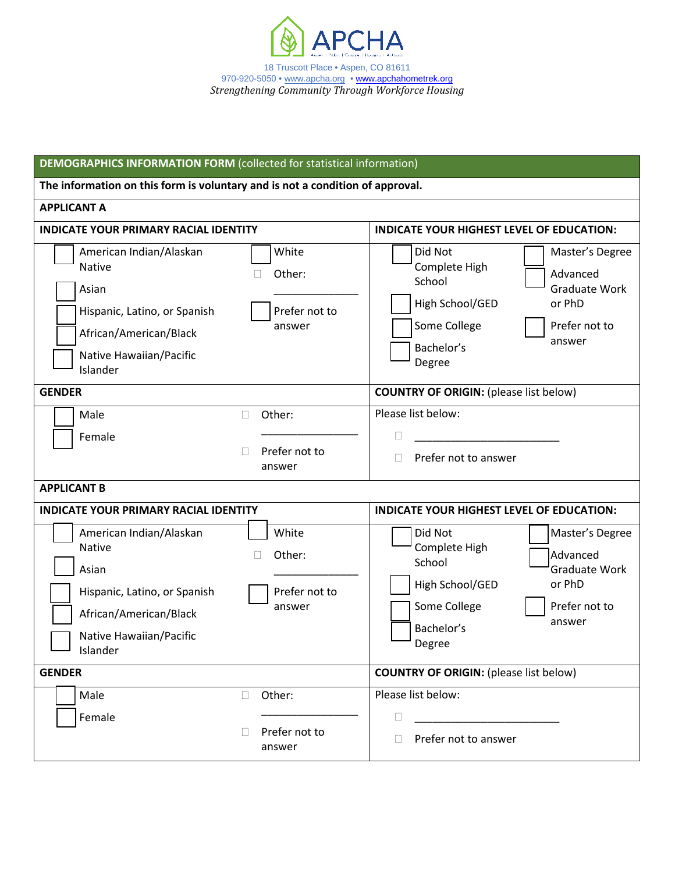

| <b>DEMOGRAPHICS INFORMATION FORM</b> (collected for statistical information)                                                                                                                     |                                              |                                                                                                                                                                                           |  |  |  |
|--------------------------------------------------------------------------------------------------------------------------------------------------------------------------------------------------|----------------------------------------------|-------------------------------------------------------------------------------------------------------------------------------------------------------------------------------------------|--|--|--|
| The information on this form is voluntary and is not a condition of approval.                                                                                                                    |                                              |                                                                                                                                                                                           |  |  |  |
| <b>APPLICANT A</b>                                                                                                                                                                               |                                              |                                                                                                                                                                                           |  |  |  |
| <b>INDICATE YOUR PRIMARY RACIAL IDENTITY</b>                                                                                                                                                     |                                              | <b>INDICATE YOUR HIGHEST LEVEL OF EDUCATION:</b>                                                                                                                                          |  |  |  |
| White<br>American Indian/Alaskan<br><b>Native</b><br>Other:<br>Asian<br>Prefer not to<br>Hispanic, Latino, or Spanish<br>answer<br>African/American/Black<br>Native Hawaiian/Pacific<br>Islander |                                              | Did Not<br>Master's Degree<br>Complete High<br>Advanced<br>School<br><b>Graduate Work</b><br>High School/GED<br>or PhD<br>Some College<br>Prefer not to<br>answer<br>Bachelor's<br>Degree |  |  |  |
| <b>GENDER</b>                                                                                                                                                                                    |                                              | <b>COUNTRY OF ORIGIN:</b> (please list below)                                                                                                                                             |  |  |  |
| Male<br>Female                                                                                                                                                                                   | Other:<br>П<br>Prefer not to<br>answer       | Please list below:<br>Prefer not to answer<br>$\Box$                                                                                                                                      |  |  |  |
| <b>APPLICANT B</b>                                                                                                                                                                               |                                              |                                                                                                                                                                                           |  |  |  |
| <b>INDICATE YOUR PRIMARY RACIAL IDENTITY</b>                                                                                                                                                     |                                              | <b>INDICATE YOUR HIGHEST LEVEL OF EDUCATION:</b>                                                                                                                                          |  |  |  |
| American Indian/Alaskan<br>Native<br>Asian                                                                                                                                                       | White<br>Other:                              | Did Not<br>Master's Degree<br>Complete High<br>Advanced<br>School<br><b>Graduate Work</b>                                                                                                 |  |  |  |
| Hispanic, Latino, or Spanish<br>African/American/Black<br>Native Hawaiian/Pacific<br>Islander                                                                                                    | Prefer not to<br>answer                      | or PhD<br>High School/GED<br>Some College<br>Prefer not to<br>answer<br>Bachelor's<br>Degree                                                                                              |  |  |  |
| <b>GENDER</b>                                                                                                                                                                                    |                                              | <b>COUNTRY OF ORIGIN: (please list below)</b>                                                                                                                                             |  |  |  |
| Male<br>Female                                                                                                                                                                                   | Other:<br>П.<br>Prefer not to<br>П<br>answer | Please list below:<br>Prefer not to answer                                                                                                                                                |  |  |  |